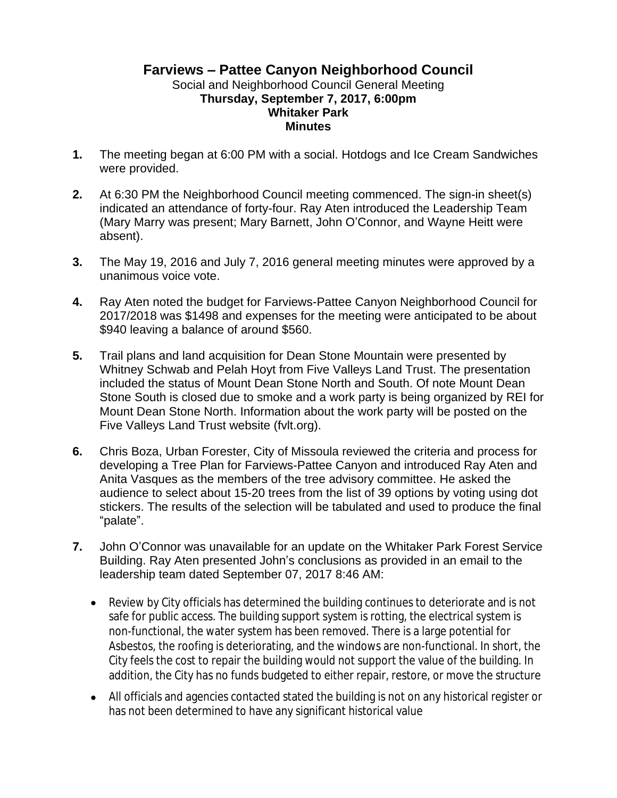## **Farviews – Pattee Canyon Neighborhood Council** Social and Neighborhood Council General Meeting **Thursday, September 7, 2017, 6:00pm Whitaker Park Minutes**

- **1.** The meeting began at 6:00 PM with a social. Hotdogs and Ice Cream Sandwiches were provided.
- **2.** At 6:30 PM the Neighborhood Council meeting commenced. The sign-in sheet(s) indicated an attendance of forty-four. Ray Aten introduced the Leadership Team (Mary Marry was present; Mary Barnett, John O'Connor, and Wayne Heitt were absent).
- **3.** The May 19, 2016 and July 7, 2016 general meeting minutes were approved by a unanimous voice vote.
- **4.** Ray Aten noted the budget for Farviews-Pattee Canyon Neighborhood Council for 2017/2018 was \$1498 and expenses for the meeting were anticipated to be about \$940 leaving a balance of around \$560.
- **5.** Trail plans and land acquisition for Dean Stone Mountain were presented by Whitney Schwab and Pelah Hoyt from Five Valleys Land Trust. The presentation included the status of Mount Dean Stone North and South. Of note Mount Dean Stone South is closed due to smoke and a work party is being organized by REI for Mount Dean Stone North. Information about the work party will be posted on the Five Valleys Land Trust website (fvlt.org).
- **6.** Chris Boza, Urban Forester, City of Missoula reviewed the criteria and process for developing a Tree Plan for Farviews-Pattee Canyon and introduced Ray Aten and Anita Vasques as the members of the tree advisory committee. He asked the audience to select about 15-20 trees from the list of 39 options by voting using dot stickers. The results of the selection will be tabulated and used to produce the final "palate".
- **7.** John O'Connor was unavailable for an update on the Whitaker Park Forest Service Building. Ray Aten presented John's conclusions as provided in an email to the leadership team dated September 07, 2017 8:46 AM:
	- Review by City officials has determined the building continues to deteriorate and is not safe for public access. The building support system is rotting, the electrical system is non-functional, the water system has been removed. There is a large potential for Asbestos, the roofing is deteriorating, and the windows are non-functional. In short, the City feels the cost to repair the building would not support the value of the building. In addition, the City has no funds budgeted to either repair, restore, or move the structure
	- All officials and agencies contacted stated the building is not on any historical register or has not been determined to have any significant historical value